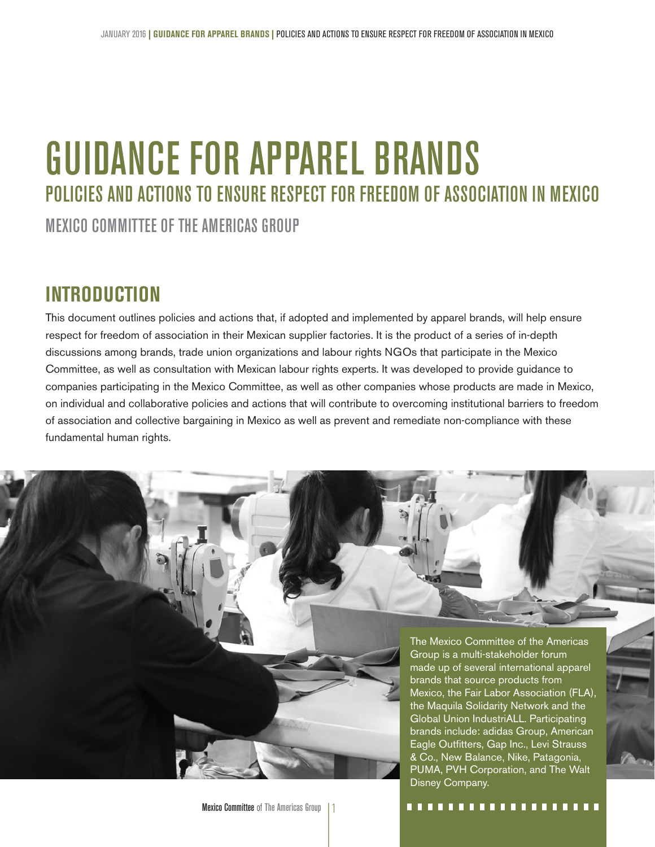# GUIDANCE FOR APPAREL BRANDS POLICIES AND ACTIONS TO ENSURE RESPECT FOR FREEDOM OF ASSOCIATION IN MEXICO

MEXICO COMMITTEE OF THE AMERICAS GROUP

### **INTRODUCTION**

This document outlines policies and actions that, if adopted and implemented by apparel brands, will help ensure respect for freedom of association in their Mexican supplier factories. It is the product of a series of in-depth discussions among brands, trade union organizations and labour rights NGOs that participate in the Mexico Committee, as well as consultation with Mexican labour rights experts. It was developed to provide guidance to companies participating in the Mexico Committee, as well as other companies whose products are made in Mexico, on individual and collaborative policies and actions that will contribute to overcoming institutional barriers to freedom of association and collective bargaining in Mexico as well as prevent and remediate non-compliance with these fundamental human rights.



Disney Company.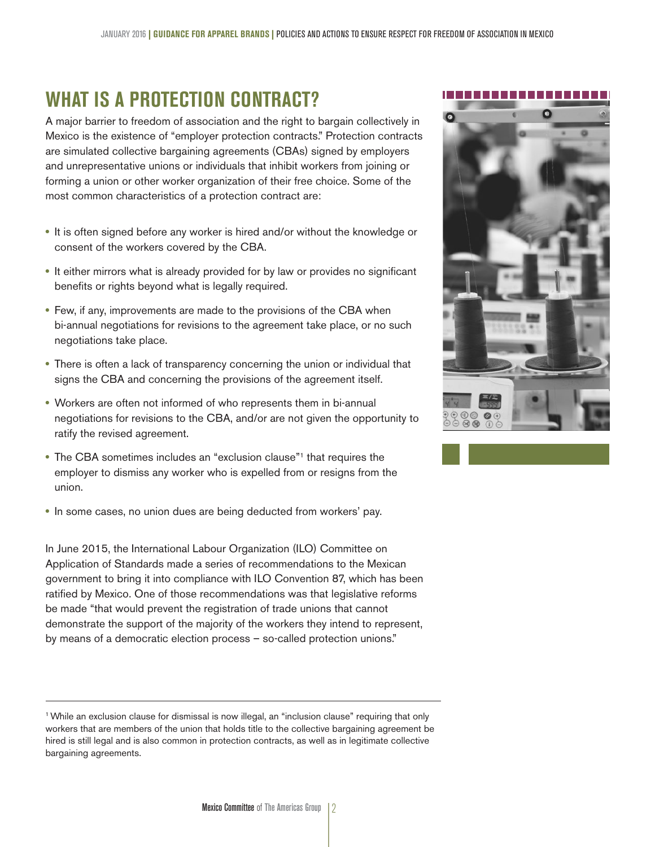### **WHAT IS A PROTECTION CONTRACT?**

A major barrier to freedom of association and the right to bargain collectively in Mexico is the existence of "employer protection contracts." Protection contracts are simulated collective bargaining agreements (CBAs) signed by employers and unrepresentative unions or individuals that inhibit workers from joining or forming a union or other worker organization of their free choice. Some of the most common characteristics of a protection contract are:

- It is often signed before any worker is hired and/or without the knowledge or consent of the workers covered by the CBA.
- It either mirrors what is already provided for by law or provides no significant benefits or rights beyond what is legally required.
- Few, if any, improvements are made to the provisions of the CBA when bi-annual negotiations for revisions to the agreement take place, or no such negotiations take place.
- There is often a lack of transparency concerning the union or individual that signs the CBA and concerning the provisions of the agreement itself.
- Workers are often not informed of who represents them in bi-annual negotiations for revisions to the CBA, and/or are not given the opportunity to ratify the revised agreement.
- The CBA sometimes includes an "exclusion clause"1 that requires the employer to dismiss any worker who is expelled from or resigns from the union.
- In some cases, no union dues are being deducted from workers' pay.

In June 2015, the International Labour Organization (ILO) Committee on Application of Standards made a series of recommendations to the Mexican government to bring it into compliance with ILO Convention 87, which has been ratified by Mexico. One of those recommendations was that legislative reforms be made "that would prevent the registration of trade unions that cannot demonstrate the support of the majority of the workers they intend to represent, by means of a democratic election process – so-called protection unions."



<sup>1</sup> While an exclusion clause for dismissal is now illegal, an "inclusion clause" requiring that only workers that are members of the union that holds title to the collective bargaining agreement be hired is still legal and is also common in protection contracts, as well as in legitimate collective bargaining agreements.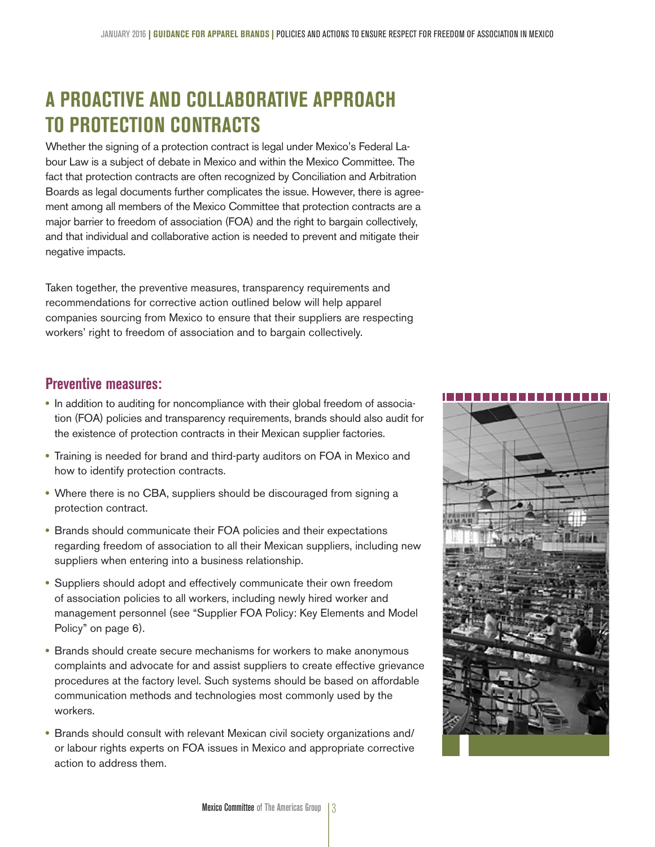## **A PROACTIVE AND COLLABORATIVE APPROACH TO PROTECTION CONTRACTS**

Whether the signing of a protection contract is legal under Mexico's Federal Labour Law is a subject of debate in Mexico and within the Mexico Committee. The fact that protection contracts are often recognized by Conciliation and Arbitration Boards as legal documents further complicates the issue. However, there is agreement among all members of the Mexico Committee that protection contracts are a major barrier to freedom of association (FOA) and the right to bargain collectively, and that individual and collaborative action is needed to prevent and mitigate their negative impacts.

Taken together, the preventive measures, transparency requirements and recommendations for corrective action outlined below will help apparel companies sourcing from Mexico to ensure that their suppliers are respecting workers' right to freedom of association and to bargain collectively.

#### **Preventive measures:**

- In addition to auditing for noncompliance with their global freedom of association (FOA) policies and transparency requirements, brands should also audit for the existence of protection contracts in their Mexican supplier factories.
- Training is needed for brand and third-party auditors on FOA in Mexico and how to identify protection contracts.
- Where there is no CBA, suppliers should be discouraged from signing a protection contract.
- Brands should communicate their FOA policies and their expectations regarding freedom of association to all their Mexican suppliers, including new suppliers when entering into a business relationship.
- Suppliers should adopt and effectively communicate their own freedom of association policies to all workers, including newly hired worker and management personnel (see "Supplier FOA Policy: Key Elements and Model Policy" on page 6).
- Brands should create secure mechanisms for workers to make anonymous complaints and advocate for and assist suppliers to create effective grievance procedures at the factory level. Such systems should be based on affordable communication methods and technologies most commonly used by the workers.
- Brands should consult with relevant Mexican civil society organizations and/ or labour rights experts on FOA issues in Mexico and appropriate corrective action to address them.

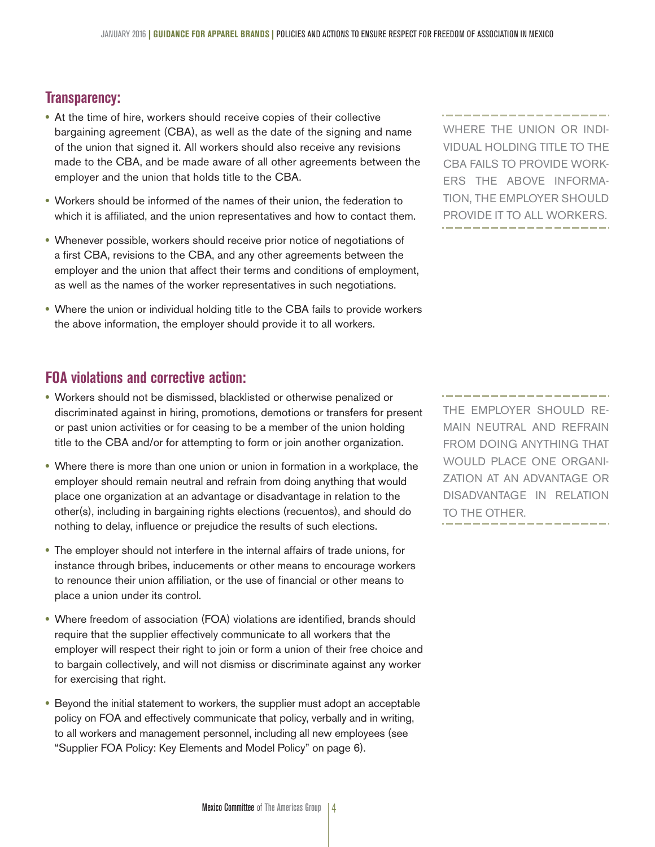### **Transparency:**

- At the time of hire, workers should receive copies of their collective bargaining agreement (CBA), as well as the date of the signing and name of the union that signed it. All workers should also receive any revisions made to the CBA, and be made aware of all other agreements between the employer and the union that holds title to the CBA.
- Workers should be informed of the names of their union, the federation to which it is affiliated, and the union representatives and how to contact them.
- Whenever possible, workers should receive prior notice of negotiations of a first CBA, revisions to the CBA, and any other agreements between the employer and the union that affect their terms and conditions of employment, as well as the names of the worker representatives in such negotiations.
- Where the union or individual holding title to the CBA fails to provide workers the above information, the employer should provide it to all workers.

#### **FOA violations and corrective action:**

- Workers should not be dismissed, blacklisted or otherwise penalized or discriminated against in hiring, promotions, demotions or transfers for present or past union activities or for ceasing to be a member of the union holding title to the CBA and/or for attempting to form or join another organization.
- Where there is more than one union or union in formation in a workplace, the employer should remain neutral and refrain from doing anything that would place one organization at an advantage or disadvantage in relation to the other(s), including in bargaining rights elections (recuentos), and should do nothing to delay, influence or prejudice the results of such elections.
- The employer should not interfere in the internal affairs of trade unions, for instance through bribes, inducements or other means to encourage workers to renounce their union affiliation, or the use of financial or other means to place a union under its control.
- Where freedom of association (FOA) violations are identified, brands should require that the supplier effectively communicate to all workers that the employer will respect their right to join or form a union of their free choice and to bargain collectively, and will not dismiss or discriminate against any worker for exercising that right.
- Beyond the initial statement to workers, the supplier must adopt an acceptable policy on FOA and effectively communicate that policy, verbally and in writing, to all workers and management personnel, including all new employees (see "Supplier FOA Policy: Key Elements and Model Policy" on page 6).

WHERE THE UNION OR INDI-VIDUAL HOLDING TITLE TO THE CBA FAILS TO PROVIDE WORK-ERS THE ABOVE INFORMA-TION, THE EMPLOYER SHOULD PROVIDE IT TO ALL WORKERS.

THE EMPLOYER SHOULD RE-MAIN NEUTRAL AND REFRAIN FROM DOING ANYTHING THAT WOULD PLACE ONE ORGANI-ZATION AT AN ADVANTAGE OR DISADVANTAGE IN RELATION TO THE OTHER.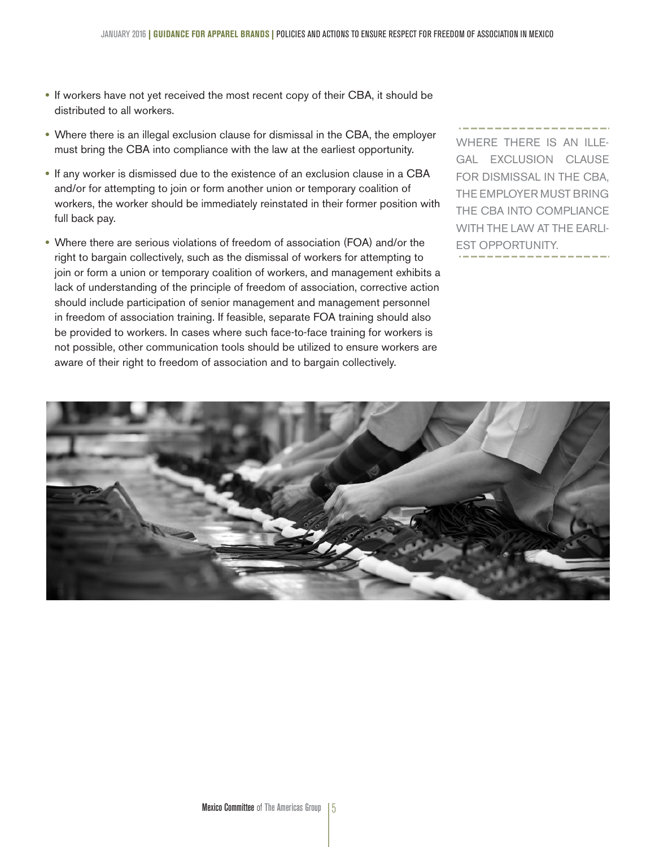- If workers have not yet received the most recent copy of their CBA, it should be distributed to all workers.
- Where there is an illegal exclusion clause for dismissal in the CBA, the employer must bring the CBA into compliance with the law at the earliest opportunity.
- If any worker is dismissed due to the existence of an exclusion clause in a CBA and/or for attempting to join or form another union or temporary coalition of workers, the worker should be immediately reinstated in their former position with full back pay.
- Where there are serious violations of freedom of association (FOA) and/or the right to bargain collectively, such as the dismissal of workers for attempting to join or form a union or temporary coalition of workers, and management exhibits a lack of understanding of the principle of freedom of association, corrective action should include participation of senior management and management personnel in freedom of association training. If feasible, separate FOA training should also be provided to workers. In cases where such face-to-face training for workers is not possible, other communication tools should be utilized to ensure workers are aware of their right to freedom of association and to bargain collectively.

WHERE THERE IS AN ILLE-GAL EXCLUSION CLAUSE FOR DISMISSAL IN THE CBA, THE EMPLOYER MUST BRING THE CBA INTO COMPLIANCE WITH THE LAW AT THE EARLI-EST OPPORTUNITY.